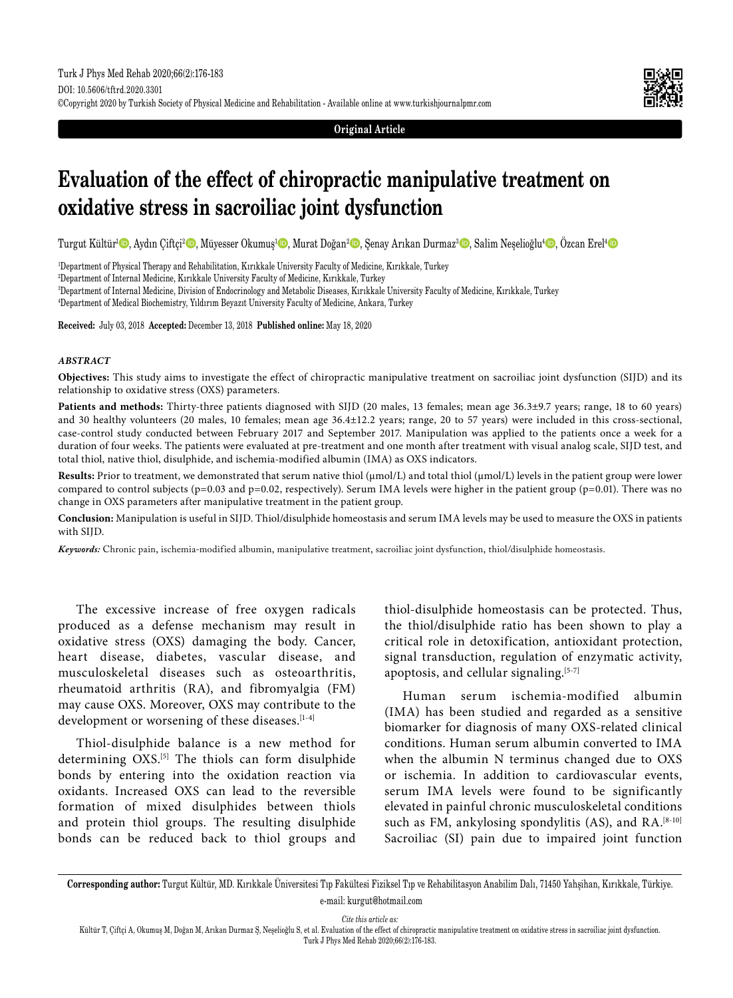**Original Article**

# **Evaluation of the effect of chiropractic manipulative treatment on oxidative stress in sacroiliac joint dysfunction**

Turgut Kültür<sup>ı @</sup>, Aydın Çiftçi<sup>2</sup> ©, Müyesser Okumuş<sup>ı </sup>©, Murat Doğan<sup>2</sup> ©, Şenay Arıkan Durmaz<sup>3</sup> ©, Salim Neşelioğlu<sup>4</sup> ©, Özcan Erel<sup>1</sup> ©

1 Department of Physical Therapy and Rehabilitation, Kırıkkale University Faculty of Medicine, Kırıkkale, Turkey

2 Department of Internal Medicine, Kırıkkale University Faculty of Medicine, Kırıkkale, Turkey

3 Department of Internal Medicine, Division of Endocrinology and Metabolic Diseases, Kırıkkale University Faculty of Medicine, Kırıkkale, Turkey

4 Department of Medical Biochemistry, Yıldırım Beyazıt University Faculty of Medicine, Ankara, Turkey

**Received:** July 03, 2018 **Accepted:** December 13, 2018 **Published online:** May 18, 2020

#### *ABSTRACT*

**Objectives:** This study aims to investigate the effect of chiropractic manipulative treatment on sacroiliac joint dysfunction (SIJD) and its relationship to oxidative stress (OXS) parameters.

**Patients and methods:** Thirty-three patients diagnosed with SIJD (20 males, 13 females; mean age 36.3±9.7 years; range, 18 to 60 years) and 30 healthy volunteers (20 males, 10 females; mean age 36.4±12.2 years; range, 20 to 57 years) were included in this cross-sectional, case-control study conducted between February 2017 and September 2017. Manipulation was applied to the patients once a week for a duration of four weeks. The patients were evaluated at pre-treatment and one month after treatment with visual analog scale, SIJD test, and total thiol, native thiol, disulphide, and ischemia-modified albumin (IMA) as OXS indicators.

Results: Prior to treatment, we demonstrated that serum native thiol (µmol/L) and total thiol (µmol/L) levels in the patient group were lower compared to control subjects ( $p=0.03$  and  $p=0.02$ , respectively). Serum IMA levels were higher in the patient group ( $p=0.01$ ). There was no change in OXS parameters after manipulative treatment in the patient group.

**Conclusion:** Manipulation is useful in SIJD. Thiol/disulphide homeostasis and serum IMA levels may be used to measure the OXS in patients with SIJD.

*Keywords:* Chronic pain, ischemia-modified albumin, manipulative treatment, sacroiliac joint dysfunction, thiol/disulphide homeostasis.

The excessive increase of free oxygen radicals produced as a defense mechanism may result in oxidative stress (OXS) damaging the body. Cancer, heart disease, diabetes, vascular disease, and musculoskeletal diseases such as osteoarthritis, rheumatoid arthritis (RA), and fibromyalgia (FM) may cause OXS. Moreover, OXS may contribute to the development or worsening of these diseases.<sup>[1-4]</sup>

Thiol-disulphide balance is a new method for determining  $OXS^{[5]}$  The thiols can form disulphide bonds by entering into the oxidation reaction via oxidants. Increased OXS can lead to the reversible formation of mixed disulphides between thiols and protein thiol groups. The resulting disulphide bonds can be reduced back to thiol groups and thiol-disulphide homeostasis can be protected. Thus, the thiol/disulphide ratio has been shown to play a critical role in detoxification, antioxidant protection, signal transduction, regulation of enzymatic activity, apoptosis, and cellular signaling.<sup>[5-7]</sup>

Human serum ischemia-modified albumin (IMA) has been studied and regarded as a sensitive biomarker for diagnosis of many OXS-related clinical conditions. Human serum albumin converted to IMA when the albumin N terminus changed due to OXS or ischemia. In addition to cardiovascular events, serum IMA levels were found to be significantly elevated in painful chronic musculoskeletal conditions such as FM, ankylosing spondylitis (AS), and RA.<sup>[8-10]</sup> Sacroiliac (SI) pain due to impaired joint function

**Corresponding author:** Turgut Kültür, MD. Kırıkkale Üniversitesi Tıp Fakültesi Fiziksel Tıp ve Rehabilitasyon Anabilim Dalı, 71450 Yahşihan, Kırıkkale, Türkiye. e-mail: kurgut@hotmail.com

*Cite this article as:*

Kültür T, Çiftçi A, Okumuş M, Doğan M, Arıkan Durmaz Ş, Neşelioğlu S, et al. Evaluation of the effect of chiropractic manipulative treatment on oxidative stress in sacroiliac joint dysfunction. Turk J Phys Med Rehab 2020;66(2):176-183.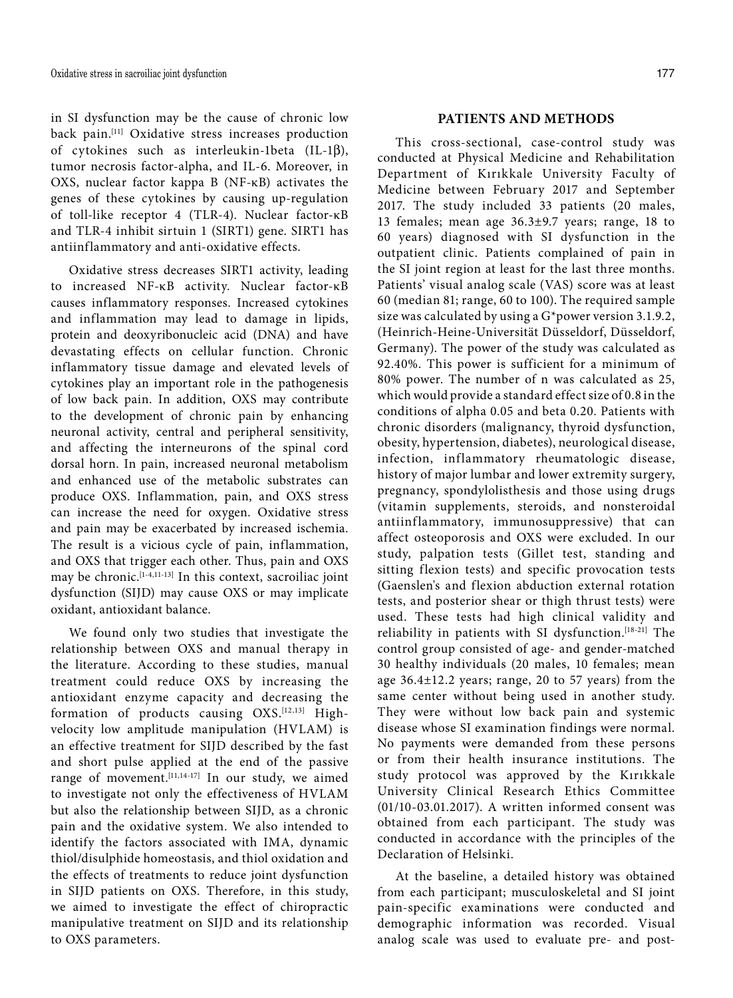in SI dysfunction may be the cause of chronic low back pain.[11] Oxidative stress increases production of cytokines such as interleukin-1beta (IL-1 $\beta$ ), tumor necrosis factor-alpha, and IL-6. Moreover, in OXS, nuclear factor kappa B (NF-κB) activates the genes of these cytokines by causing up-regulation of toll-like receptor 4 (TLR-4). Nuclear factor-κB and TLR-4 inhibit sirtuin 1 (SIRT1) gene. SIRT1 has antiinflammatory and anti-oxidative effects.

Oxidative stress decreases SIRT1 activity, leading to increased NF-κB activity. Nuclear factor-κB causes inflammatory responses. Increased cytokines and inflammation may lead to damage in lipids, protein and deoxyribonucleic acid (DNA) and have devastating effects on cellular function. Chronic inflammatory tissue damage and elevated levels of cytokines play an important role in the pathogenesis of low back pain. In addition, OXS may contribute to the development of chronic pain by enhancing neuronal activity, central and peripheral sensitivity, and affecting the interneurons of the spinal cord dorsal horn. In pain, increased neuronal metabolism and enhanced use of the metabolic substrates can produce OXS. Inflammation, pain, and OXS stress can increase the need for oxygen. Oxidative stress and pain may be exacerbated by increased ischemia. The result is a vicious cycle of pain, inflammation, and OXS that trigger each other. Thus, pain and OXS may be chronic.<sup>[1-4,11-13]</sup> In this context, sacroiliac joint dysfunction (SIJD) may cause OXS or may implicate oxidant, antioxidant balance.

We found only two studies that investigate the relationship between OXS and manual therapy in the literature. According to these studies, manual treatment could reduce OXS by increasing the antioxidant enzyme capacity and decreasing the formation of products causing OXS.[12,13] Highvelocity low amplitude manipulation (HVLAM) is an effective treatment for SIJD described by the fast and short pulse applied at the end of the passive range of movement.[11,14-17] In our study, we aimed to investigate not only the effectiveness of HVLAM but also the relationship between SIJD, as a chronic pain and the oxidative system. We also intended to identify the factors associated with IMA, dynamic thiol/disulphide homeostasis, and thiol oxidation and the effects of treatments to reduce joint dysfunction in SIJD patients on OXS. Therefore, in this study, we aimed to investigate the effect of chiropractic manipulative treatment on SIJD and its relationship to OXS parameters.

## **PATIENTS AND METHODS**

This cross-sectional, case-control study was conducted at Physical Medicine and Rehabilitation Department of Kırıkkale University Faculty of Medicine between February 2017 and September 2017. The study included 33 patients (20 males, 13 females; mean age 36.3±9.7 years; range, 18 to 60 years) diagnosed with SI dysfunction in the outpatient clinic. Patients complained of pain in the SI joint region at least for the last three months. Patients' visual analog scale (VAS) score was at least 60 (median 81; range, 60 to 100). The required sample size was calculated by using a G\*power version 3.1.9.2, (Heinrich-Heine-Universität Düsseldorf, Düsseldorf, Germany). The power of the study was calculated as 92.40%. This power is sufficient for a minimum of 80% power. The number of n was calculated as 25, which would provide a standard effect size of 0.8 in the conditions of alpha 0.05 and beta 0.20. Patients with chronic disorders (malignancy, thyroid dysfunction, obesity, hypertension, diabetes), neurological disease, infection, inflammatory rheumatologic disease, history of major lumbar and lower extremity surgery, pregnancy, spondylolisthesis and those using drugs (vitamin supplements, steroids, and nonsteroidal antiinflammatory, immunosuppressive) that can affect osteoporosis and OXS were excluded. In our study, palpation tests (Gillet test, standing and sitting flexion tests) and specific provocation tests (Gaenslen's and flexion abduction external rotation tests, and posterior shear or thigh thrust tests) were used. These tests had high clinical validity and reliability in patients with SI dysfunction.[18-21] The control group consisted of age- and gender-matched 30 healthy individuals (20 males, 10 females; mean age 36.4±12.2 years; range, 20 to 57 years) from the same center without being used in another study. They were without low back pain and systemic disease whose SI examination findings were normal. No payments were demanded from these persons or from their health insurance institutions. The study protocol was approved by the Kırıkkale University Clinical Research Ethics Committee (01/10-03.01.2017). A written informed consent was obtained from each participant. The study was conducted in accordance with the principles of the Declaration of Helsinki.

At the baseline, a detailed history was obtained from each participant; musculoskeletal and SI joint pain-specific examinations were conducted and demographic information was recorded. Visual analog scale was used to evaluate pre- and post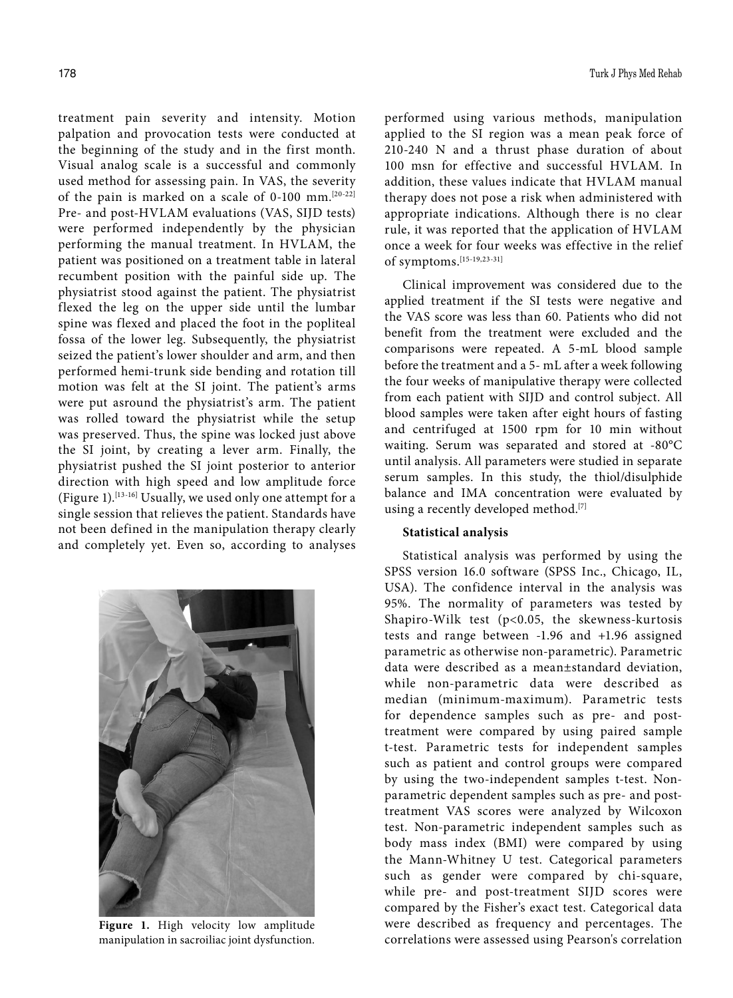treatment pain severity and intensity. Motion palpation and provocation tests were conducted at the beginning of the study and in the first month. Visual analog scale is a successful and commonly used method for assessing pain. In VAS, the severity of the pain is marked on a scale of 0-100 mm.[20-22] Pre- and post-HVLAM evaluations (VAS, SIJD tests) were performed independently by the physician performing the manual treatment. In HVLAM, the patient was positioned on a treatment table in lateral recumbent position with the painful side up. The physiatrist stood against the patient. The physiatrist flexed the leg on the upper side until the lumbar spine was flexed and placed the foot in the popliteal fossa of the lower leg. Subsequently, the physiatrist seized the patient's lower shoulder and arm, and then performed hemi-trunk side bending and rotation till motion was felt at the SI joint. The patient's arms were put asround the physiatrist's arm. The patient was rolled toward the physiatrist while the setup was preserved. Thus, the spine was locked just above the SI joint, by creating a lever arm. Finally, the physiatrist pushed the SI joint posterior to anterior direction with high speed and low amplitude force (Figure 1).[13-16] Usually, we used only one attempt for a single session that relieves the patient. Standards have not been defined in the manipulation therapy clearly and completely yet. Even so, according to analyses



**Figure 1.** High velocity low amplitude manipulation in sacroiliac joint dysfunction.

performed using various methods, manipulation applied to the SI region was a mean peak force of 210-240 N and a thrust phase duration of about 100 msn for effective and successful HVLAM. In addition, these values indicate that HVLAM manual therapy does not pose a risk when administered with appropriate indications. Although there is no clear rule, it was reported that the application of HVLAM once a week for four weeks was effective in the relief of symptoms.[15-19,23-31]

Clinical improvement was considered due to the applied treatment if the SI tests were negative and the VAS score was less than 60. Patients who did not benefit from the treatment were excluded and the comparisons were repeated. A 5-mL blood sample before the treatment and a 5- mL after a week following the four weeks of manipulative therapy were collected from each patient with SIJD and control subject. All blood samples were taken after eight hours of fasting and centrifuged at 1500 rpm for 10 min without waiting. Serum was separated and stored at -80°C until analysis. All parameters were studied in separate serum samples. In this study, the thiol/disulphide balance and IMA concentration were evaluated by using a recently developed method.<sup>[7]</sup>

#### **Statistical analysis**

Statistical analysis was performed by using the SPSS version 16.0 software (SPSS Inc., Chicago, IL, USA). The confidence interval in the analysis was 95%. The normality of parameters was tested by Shapiro-Wilk test (p<0.05, the skewness-kurtosis tests and range between -1.96 and +1.96 assigned parametric as otherwise non-parametric). Parametric data were described as a mean±standard deviation, while non-parametric data were described as median (minimum-maximum). Parametric tests for dependence samples such as pre- and posttreatment were compared by using paired sample t-test. Parametric tests for independent samples such as patient and control groups were compared by using the two-independent samples t-test. Nonparametric dependent samples such as pre- and posttreatment VAS scores were analyzed by Wilcoxon test. Non-parametric independent samples such as body mass index (BMI) were compared by using the Mann-Whitney U test. Categorical parameters such as gender were compared by chi-square, while pre- and post-treatment SIJD scores were compared by the Fisher's exact test. Categorical data were described as frequency and percentages. The correlations were assessed using Pearson's correlation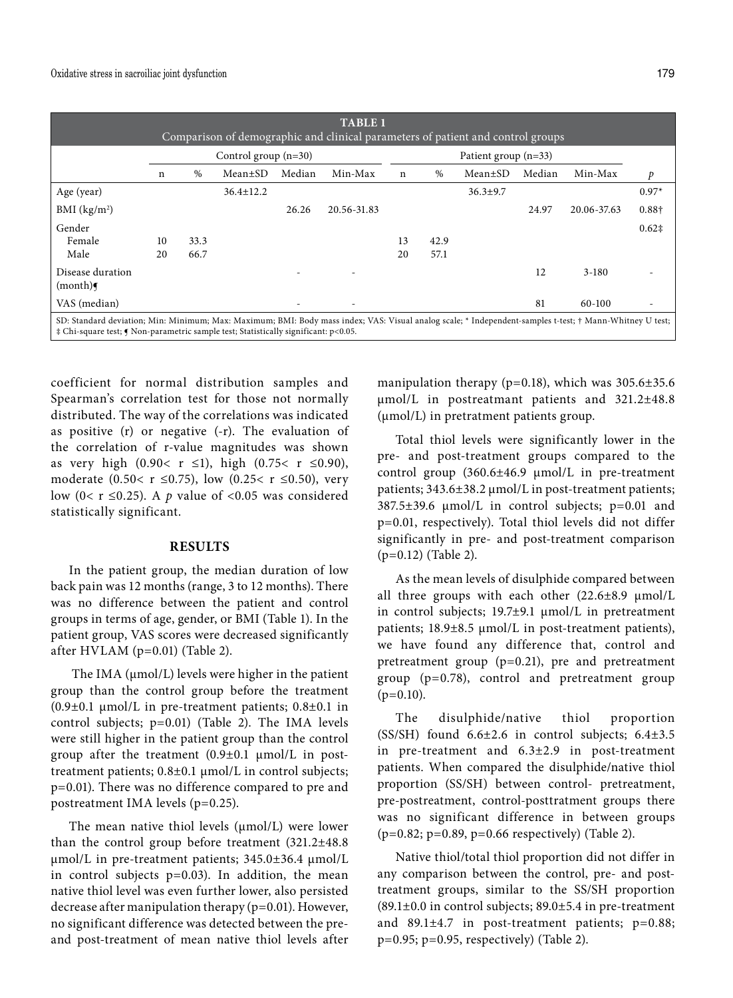|                                                                                                                                                                                                                                                 |    |      |                        |        | <b>TABLE 1</b><br>Comparison of demographic and clinical parameters of patient and control groups |             |      |                        |        |             |                |
|-------------------------------------------------------------------------------------------------------------------------------------------------------------------------------------------------------------------------------------------------|----|------|------------------------|--------|---------------------------------------------------------------------------------------------------|-------------|------|------------------------|--------|-------------|----------------|
|                                                                                                                                                                                                                                                 |    |      | Control group $(n=30)$ |        |                                                                                                   |             |      | Patient group $(n=33)$ |        |             |                |
|                                                                                                                                                                                                                                                 | n  | $\%$ | $Mean \pm SD$          | Median | Min-Max                                                                                           | $\mathbf n$ | $\%$ | Mean±SD                | Median | Min-Max     | p              |
| Age (year)                                                                                                                                                                                                                                      |    |      | $36.4 \pm 12.2$        |        |                                                                                                   |             |      | $36.3 \pm 9.7$         |        |             | $0.97*$        |
| BMI $(kg/m2)$                                                                                                                                                                                                                                   |    |      |                        | 26.26  | 20.56-31.83                                                                                       |             |      |                        | 24.97  | 20.06-37.63 | 0.88+          |
| Gender                                                                                                                                                                                                                                          |    |      |                        |        |                                                                                                   |             |      |                        |        |             | $0.62\ddagger$ |
| Female                                                                                                                                                                                                                                          | 10 | 33.3 |                        |        |                                                                                                   | 13          | 42.9 |                        |        |             |                |
| Male                                                                                                                                                                                                                                            | 20 | 66.7 |                        |        |                                                                                                   | 20          | 57.1 |                        |        |             |                |
| Disease duration<br>(month)                                                                                                                                                                                                                     |    |      |                        |        |                                                                                                   |             |      |                        | 12     | $3 - 180$   |                |
| VAS (median)                                                                                                                                                                                                                                    |    |      |                        |        |                                                                                                   |             |      |                        | 81     | 60-100      |                |
| SD: Standard deviation; Min: Minimum; Max: Maximum; BMI: Body mass index; VAS: Visual analog scale; * Independent-samples t-test; † Mann-Whitney U test;<br>‡ Chi-square test; ¶ Non-parametric sample test; Statistically significant: p<0.05. |    |      |                        |        |                                                                                                   |             |      |                        |        |             |                |

coefficient for normal distribution samples and Spearman's correlation test for those not normally distributed. The way of the correlations was indicated as positive (r) or negative (-r). The evaluation of the correlation of r-value magnitudes was shown as very high (0.90< r ≤1), high (0.75< r ≤0.90), moderate (0.50< r ≤0.75), low (0.25< r ≤0.50), very low (0< r  $\leq$  0.25). A *p* value of <0.05 was considered statistically significant.

### **RESULTS**

In the patient group, the median duration of low back pain was 12 months (range, 3 to 12 months). There was no difference between the patient and control groups in terms of age, gender, or BMI (Table 1). In the patient group, VAS scores were decreased significantly after HVLAM (p=0.01) (Table 2).

The IMA (umol/L) levels were higher in the patient group than the control group before the treatment (0.9 $\pm$ 0.1 µmol/L in pre-treatment patients; 0.8 $\pm$ 0.1 in control subjects; p=0.01) (Table 2). The IMA levels were still higher in the patient group than the control group after the treatment  $(0.9\pm0.1 \mu \text{mol/L}$  in posttreatment patients; 0.8±0.1 µmol/L in control subjects; p=0.01). There was no difference compared to pre and postreatment IMA levels (p=0.25).

The mean native thiol levels  $(\mu \text{mol/L})$  were lower than the control group before treatment (321.2±48.8 µmol/L in pre-treatment patients; 345.0±36.4 µmol/L in control subjects  $p=0.03$ ). In addition, the mean native thiol level was even further lower, also persisted decrease after manipulation therapy (p=0.01). However, no significant difference was detected between the preand post-treatment of mean native thiol levels after manipulation therapy ( $p=0.18$ ), which was  $305.6\pm35.6$ µmol/L in postreatmant patients and 321.2±48.8 (µmol/L) in pretratment patients group.

Total thiol levels were significantly lower in the pre- and post-treatment groups compared to the control group (360.6±46.9 µmol/L in pre-treatment patients; 343.6±38.2 µmol/L in post-treatment patients; 387.5±39.6 µmol/L in control subjects; p=0.01 and p=0.01, respectively). Total thiol levels did not differ significantly in pre- and post-treatment comparison (p=0.12) (Table 2).

As the mean levels of disulphide compared between all three groups with each other  $(22.6\pm8.9 \text{ }\mu\text{mol/L})$ in control subjects; 19.7±9.1 µmol/L in pretreatment patients; 18.9±8.5 µmol/L in post-treatment patients), we have found any difference that, control and pretreatment group (p=0.21), pre and pretreatment group (p=0.78), control and pretreatment group  $(p=0.10)$ .

The disulphide/native thiol proportion (SS/SH) found 6.6±2.6 in control subjects; 6.4±3.5 in pre-treatment and 6.3±2.9 in post-treatment patients. When compared the disulphide/native thiol proportion (SS/SH) between control- pretreatment, pre-postreatment, control-posttratment groups there was no significant difference in between groups (p=0.82; p=0.89, p=0.66 respectively) (Table 2).

Native thiol/total thiol proportion did not differ in any comparison between the control, pre- and posttreatment groups, similar to the SS/SH proportion (89.1±0.0 in control subjects; 89.0±5.4 in pre-treatment and  $89.1 \pm 4.7$  in post-treatment patients;  $p=0.88$ ;  $p=0.95$ ;  $p=0.95$ , respectively) (Table 2).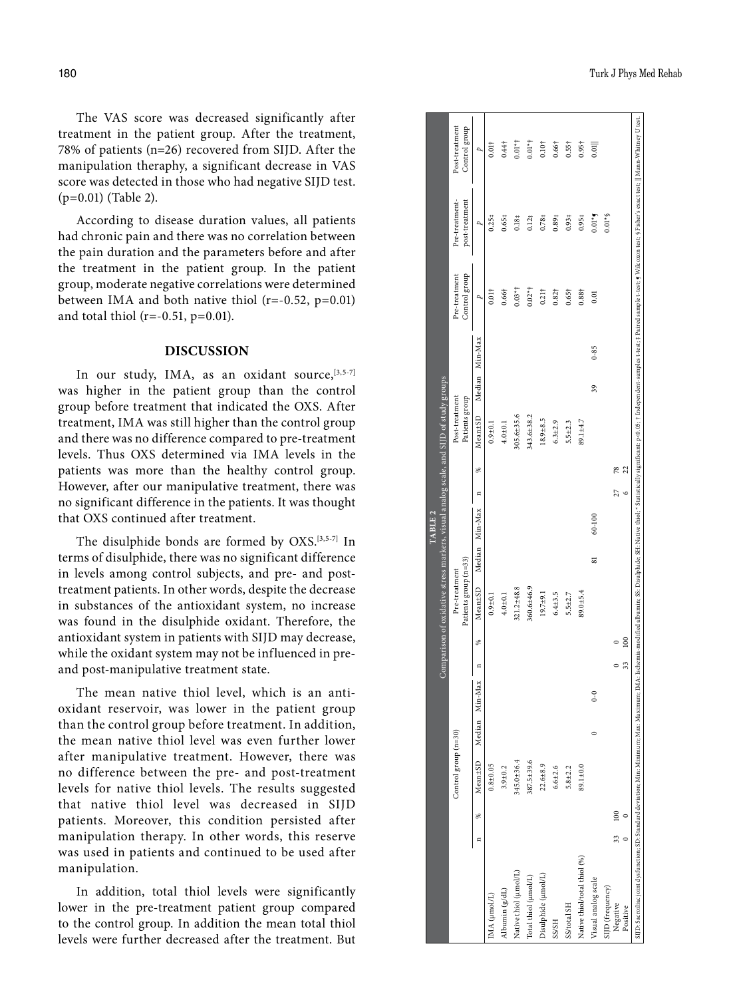The VAS score was decreased significantly after treatment in the patient group. After the treatment, 78% of patients (n=26) recovered from SIJD. After the manipulation theraphy, a significant decrease in VAS score was detected in those who had negative SIJD test. (p=0.01) (Table 2).

According to disease duration values, all patients had chronic pain and there was no correlation between the pain duration and the parameters before and after the treatment in the patient group. In the patient group, moderate negative correlations were determined between IMA and both native thiol  $(r=-0.52, p=0.01)$ and total thiol ( $r=-0.51$ ,  $p=0.01$ ).

### **DISCUSSION**

In our study, IMA, as an oxidant source, [3,5-7] was higher in the patient group than the control group before treatment that indicated the OXS. After treatment, IMA was still higher than the control group and there was no difference compared to pre-treatment levels. Thus OXS determined via IMA levels in the patients was more than the healthy control group. However, after our manipulative treatment, there was no significant difference in the patients. It was thought that OXS continued after treatment.

The disulphide bonds are formed by OXS.[3,5-7] In terms of disulphide, there was no significant difference in levels among control subjects, and pre- and posttreatment patients. In other words, despite the decrease in substances of the antioxidant system, no increase was found in the disulphide oxidant. Therefore, the antioxidant system in patients with SIJD may decrease, while the oxidant system may not be influenced in preand post-manipulative treatment state.

The mean native thiol level, which is an antioxidant reservoir, was lower in the patient group than the control group before treatment. In addition, the mean native thiol level was even further lower after manipulative treatment. However, there was no difference between the pre- and post-treatment levels for native thiol levels. The results suggested that native thiol level was decreased in SIJD patients. Moreover, this condition persisted after manipulation therapy. In other words, this reserve was used in patients and continued to be used after manipulation.

In addition, total thiol levels were significantly lower in the pre-treatment patient group compared to the control group. In addition the mean total thiol levels were further decreased after the treatment. But

|                                                                                                                                                                                                                                |         |     |                      |   |                |              |          | Comparison of oxidative stress markers, visual analog scale, and SIJD of study groups |        | TABLE <sub>2</sub> |         |    |                                  |                   |                                |                                  |                                 |
|--------------------------------------------------------------------------------------------------------------------------------------------------------------------------------------------------------------------------------|---------|-----|----------------------|---|----------------|--------------|----------|---------------------------------------------------------------------------------------|--------|--------------------|---------|----|----------------------------------|-------------------|--------------------------------|----------------------------------|---------------------------------|
|                                                                                                                                                                                                                                |         |     | Control group (n=30) |   |                |              |          | Patients group (n=33)<br>Pre-treatment                                                |        |                    |         |    | Post-treatment<br>Patients group |                   | Control group<br>Pre-treatment | Pre-treatment-<br>post-treatment | Post-treatment<br>Control group |
|                                                                                                                                                                                                                                | Ξ       | ⋇   | Mean <sup>±SD</sup>  |   | Median Min-Max | $\mathbf{a}$ | %        | Mean ±SD                                                                              | Median | Min-Max            | Ξ       | %  | Mean±SD                          | Min-Max<br>Median | p                              |                                  | ρ,                              |
| (MA (µmol/L)                                                                                                                                                                                                                   |         |     | $0.8 + 0.05$         |   |                |              |          | $0.9 + 0.1$                                                                           |        |                    |         |    | $0.9 + 0.1$                      |                   | $0.01\dagger$                  | 0.254                            | $0.01\dagger$                   |
| Ibumin (g/dL)                                                                                                                                                                                                                  |         |     | $3.9 \pm 0.2$        |   |                |              |          | $4.0 + 0.1$                                                                           |        |                    |         |    | $4.0 + 0.1$                      |                   | $0.66\dagger$                  | $0.65*$                          | $0.44\dagger$                   |
| Native thiol (µmol/L)                                                                                                                                                                                                          |         |     | $345.0 \pm 36.4$     |   |                |              |          | $321.2 \pm 48.8$                                                                      |        |                    |         |    | $305.6 \pm 35.6$                 |                   | $0.03*$                        | 0.184                            | $0.01*$                         |
| Total thiol (µmol/L)                                                                                                                                                                                                           |         |     | 387.5±39.6           |   |                |              |          | 360.6±46.9                                                                            |        |                    |         |    | $343.6 \pm 38.2$                 |                   | $0.02*$ †                      | 0.121                            | $0.01**$                        |
| Disulphide (µmol/L)                                                                                                                                                                                                            |         |     | $22.6 \pm 8.9$       |   |                |              |          | $19.7 + 9.1$                                                                          |        |                    |         |    | $18.9 + 8.5$                     |                   | $0.21\dagger$                  | 0.78 <sup>‡</sup>                | 0.10 <sup>†</sup>               |
| <b>SS/SH</b>                                                                                                                                                                                                                   |         |     | $6.6 + 2.6$          |   |                |              |          | $6.4 \pm 3.5$                                                                         |        |                    |         |    | $6.3 + 2.9$                      |                   | $0.82\dagger$                  | 0.89 <sub>‡</sub>                | $0.66\dagger$                   |
| SS/total SH                                                                                                                                                                                                                    |         |     | $5.8 + 2.2$          |   |                |              |          | $5.5 + 2.7$                                                                           |        |                    |         |    | $5.5 \pm 2.3$                    |                   | $0.65\dagger$                  | 0.93 <sub>‡</sub>                | $0.55\dagger$                   |
| Native thiol/total thiol (%)                                                                                                                                                                                                   |         |     | 89.1±0.0             |   |                |              |          | $89.0 + 5.4$                                                                          |        |                    |         |    | 89.1±4.7                         |                   | $0.88 +$                       | 0.95‡                            | $0.95\dagger$                   |
| Visual analog scale                                                                                                                                                                                                            |         |     |                      | 0 | $0-0$          |              |          |                                                                                       | ವ      | 60-100             |         |    |                                  | $0 - 85$<br>39    | 0.01                           | $0.01*$                          | 0.01                            |
| IJD (frequency)                                                                                                                                                                                                                |         |     |                      |   |                |              |          |                                                                                       |        |                    |         |    |                                  |                   |                                | $0.01*$                          |                                 |
| Negative                                                                                                                                                                                                                       | 33      | 100 |                      |   |                |              |          |                                                                                       |        |                    | 27      | 78 |                                  |                   |                                |                                  |                                 |
| Positive                                                                                                                                                                                                                       | $\circ$ |     |                      |   |                | 33           | $^{100}$ |                                                                                       |        |                    | $\circ$ | 22 |                                  |                   |                                |                                  |                                 |
| SJD: Sacoliac joint dystunction; SD: Standard deviation; Min: Min: Mariam. Mar. Ischemia-modified albumin; SS: Disubhide; SH: Native thici; "Statistically significant p-0.05; † Independent samples test; # Paired sample tte |         |     |                      |   |                |              |          |                                                                                       |        |                    |         |    |                                  |                   |                                |                                  |                                 |
|                                                                                                                                                                                                                                |         |     |                      |   |                |              |          |                                                                                       |        |                    |         |    |                                  |                   |                                |                                  |                                 |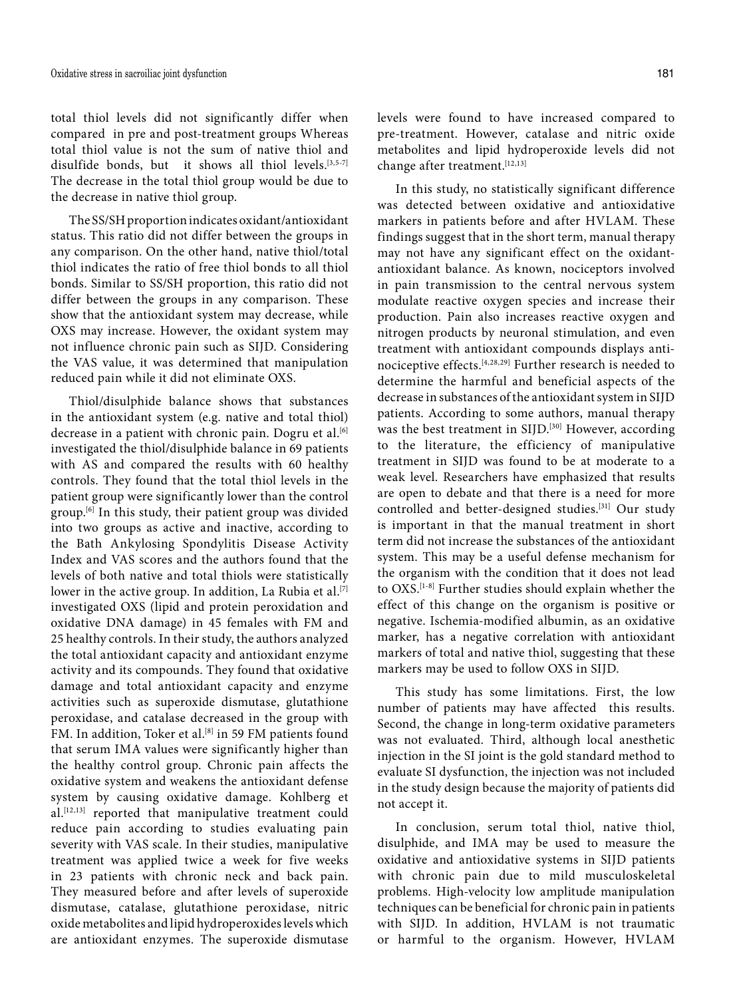total thiol levels did not significantly differ when compared in pre and post-treatment groups Whereas total thiol value is not the sum of native thiol and disulfide bonds, but it shows all thiol levels.<sup>[3,5-7]</sup> The decrease in the total thiol group would be due to the decrease in native thiol group.

The SS/SH proportion indicates oxidant/antioxidant status. This ratio did not differ between the groups in any comparison. On the other hand, native thiol/total thiol indicates the ratio of free thiol bonds to all thiol bonds. Similar to SS/SH proportion, this ratio did not differ between the groups in any comparison. These show that the antioxidant system may decrease, while OXS may increase. However, the oxidant system may not influence chronic pain such as SIJD. Considering the VAS value, it was determined that manipulation reduced pain while it did not eliminate OXS.

Thiol/disulphide balance shows that substances in the antioxidant system (e.g. native and total thiol) decrease in a patient with chronic pain. Dogru et al.<sup>[6]</sup> investigated the thiol/disulphide balance in 69 patients with AS and compared the results with 60 healthy controls. They found that the total thiol levels in the patient group were significantly lower than the control group.[6] In this study, their patient group was divided into two groups as active and inactive, according to the Bath Ankylosing Spondylitis Disease Activity Index and VAS scores and the authors found that the levels of both native and total thiols were statistically lower in the active group. In addition, La Rubia et al.<sup>[7]</sup> investigated OXS (lipid and protein peroxidation and oxidative DNA damage) in 45 females with FM and 25 healthy controls. In their study, the authors analyzed the total antioxidant capacity and antioxidant enzyme activity and its compounds. They found that oxidative damage and total antioxidant capacity and enzyme activities such as superoxide dismutase, glutathione peroxidase, and catalase decreased in the group with FM. In addition, Toker et al.<sup>[8]</sup> in 59 FM patients found that serum IMA values were significantly higher than the healthy control group. Chronic pain affects the oxidative system and weakens the antioxidant defense system by causing oxidative damage. Kohlberg et al.[12,13] reported that manipulative treatment could reduce pain according to studies evaluating pain severity with VAS scale. In their studies, manipulative treatment was applied twice a week for five weeks in 23 patients with chronic neck and back pain. They measured before and after levels of superoxide dismutase, catalase, glutathione peroxidase, nitric oxide metabolites and lipid hydroperoxides levels which are antioxidant enzymes. The superoxide dismutase

levels were found to have increased compared to pre-treatment. However, catalase and nitric oxide metabolites and lipid hydroperoxide levels did not change after treatment.[12,13]

In this study, no statistically significant difference was detected between oxidative and antioxidative markers in patients before and after HVLAM. These findings suggest that in the short term, manual therapy may not have any significant effect on the oxidantantioxidant balance. As known, nociceptors involved in pain transmission to the central nervous system modulate reactive oxygen species and increase their production. Pain also increases reactive oxygen and nitrogen products by neuronal stimulation, and even treatment with antioxidant compounds displays antinociceptive effects.[4,28,29] Further research is needed to determine the harmful and beneficial aspects of the decrease in substances of the antioxidant system in SIJD patients. According to some authors, manual therapy was the best treatment in SIJD.<sup>[30]</sup> However, according to the literature, the efficiency of manipulative treatment in SIJD was found to be at moderate to a weak level. Researchers have emphasized that results are open to debate and that there is a need for more controlled and better-designed studies.[31] Our study is important in that the manual treatment in short term did not increase the substances of the antioxidant system. This may be a useful defense mechanism for the organism with the condition that it does not lead to OXS.<sup>[1-8]</sup> Further studies should explain whether the effect of this change on the organism is positive or negative. Ischemia-modified albumin, as an oxidative marker, has a negative correlation with antioxidant markers of total and native thiol, suggesting that these markers may be used to follow OXS in SIJD.

This study has some limitations. First, the low number of patients may have affected this results. Second, the change in long-term oxidative parameters was not evaluated. Third, although local anesthetic injection in the SI joint is the gold standard method to evaluate SI dysfunction, the injection was not included in the study design because the majority of patients did not accept it.

In conclusion, serum total thiol, native thiol, disulphide, and IMA may be used to measure the oxidative and antioxidative systems in SIJD patients with chronic pain due to mild musculoskeletal problems. High-velocity low amplitude manipulation techniques can be beneficial for chronic pain in patients with SIJD. In addition, HVLAM is not traumatic or harmful to the organism. However, HVLAM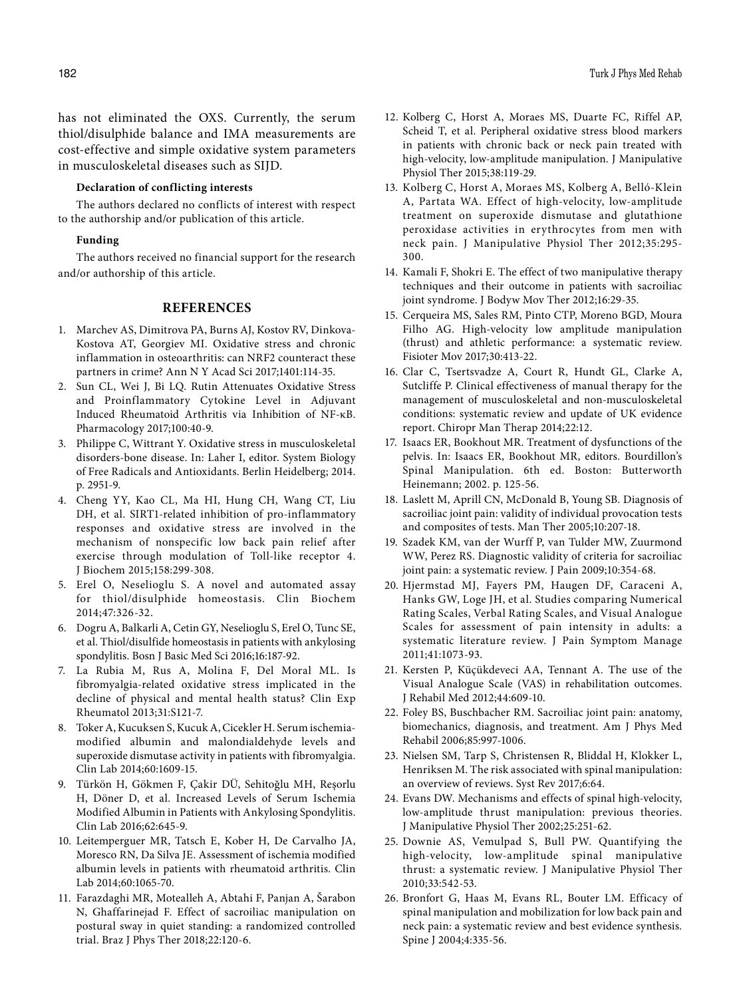has not eliminated the OXS. Currently, the serum thiol/disulphide balance and IMA measurements are cost-effective and simple oxidative system parameters in musculoskeletal diseases such as SIJD.

# **Declaration of conflicting interests**

The authors declared no conflicts of interest with respect to the authorship and/or publication of this article.

#### **Funding**

The authors received no financial support for the research and/or authorship of this article.

### **REFERENCES**

- 1. Marchev AS, Dimitrova PA, Burns AJ, Kostov RV, Dinkova-Kostova AT, Georgiev MI. Oxidative stress and chronic inflammation in osteoarthritis: can NRF2 counteract these partners in crime? Ann N Y Acad Sci 2017;1401:114-35.
- 2. Sun CL, Wei J, Bi LQ. Rutin Attenuates Oxidative Stress and Proinflammatory Cytokine Level in Adjuvant Induced Rheumatoid Arthritis via Inhibition of NF-κB. Pharmacology 2017;100:40-9.
- 3. Philippe C, Wittrant Y. Oxidative stress in musculoskeletal disorders-bone disease. In: Laher I, editor. System Biology of Free Radicals and Antioxidants. Berlin Heidelberg; 2014. p. 2951-9.
- 4. Cheng YY, Kao CL, Ma HI, Hung CH, Wang CT, Liu DH, et al. SIRT1-related inhibition of pro-inflammatory responses and oxidative stress are involved in the mechanism of nonspecific low back pain relief after exercise through modulation of Toll-like receptor 4. J Biochem 2015;158:299-308.
- 5. Erel O, Neselioglu S. A novel and automated assay for thiol/disulphide homeostasis. Clin Biochem 2014;47:326-32.
- 6. Dogru A, Balkarli A, Cetin GY, Neselioglu S, Erel O, Tunc SE, et al. Thiol/disulfide homeostasis in patients with ankylosing spondylitis. Bosn J Basic Med Sci 2016;16:187-92.
- 7. La Rubia M, Rus A, Molina F, Del Moral ML. Is fibromyalgia-related oxidative stress implicated in the decline of physical and mental health status? Clin Exp Rheumatol 2013;31:S121-7.
- 8. Toker A, Kucuksen S, Kucuk A, Cicekler H. Serum ischemiamodified albumin and malondialdehyde levels and superoxide dismutase activity in patients with fibromyalgia. Clin Lab 2014;60:1609-15.
- 9. Türkön H, Gökmen F, Çakir DÜ, Sehitoğlu MH, Reşorlu H, Döner D, et al. Increased Levels of Serum Ischemia Modified Albumin in Patients with Ankylosing Spondylitis. Clin Lab 2016;62:645-9.
- 10. Leitemperguer MR, Tatsch E, Kober H, De Carvalho JA, Moresco RN, Da Silva JE. Assessment of ischemia modified albumin levels in patients with rheumatoid arthritis. Clin Lab 2014;60:1065-70.
- 11. Farazdaghi MR, Motealleh A, Abtahi F, Panjan A, Šarabon N, Ghaffarinejad F. Effect of sacroiliac manipulation on postural sway in quiet standing: a randomized controlled trial. Braz J Phys Ther 2018;22:120-6.
- 12. Kolberg C, Horst A, Moraes MS, Duarte FC, Riffel AP, Scheid T, et al. Peripheral oxidative stress blood markers in patients with chronic back or neck pain treated with high-velocity, low-amplitude manipulation. J Manipulative Physiol Ther 2015;38:119-29.
- 13. Kolberg C, Horst A, Moraes MS, Kolberg A, Belló-Klein A, Partata WA. Effect of high-velocity, low-amplitude treatment on superoxide dismutase and glutathione peroxidase activities in erythrocytes from men with neck pain. J Manipulative Physiol Ther 2012;35:295- 300.
- 14. Kamali F, Shokri E. The effect of two manipulative therapy techniques and their outcome in patients with sacroiliac joint syndrome. J Bodyw Mov Ther 2012;16:29-35.
- 15. Cerqueira MS, Sales RM, Pinto CTP, Moreno BGD, Moura Filho AG. High-velocity low amplitude manipulation (thrust) and athletic performance: a systematic review. Fisioter Mov 2017;30:413-22.
- 16. Clar C, Tsertsvadze A, Court R, Hundt GL, Clarke A, Sutcliffe P. Clinical effectiveness of manual therapy for the management of musculoskeletal and non-musculoskeletal conditions: systematic review and update of UK evidence report. Chiropr Man Therap 2014;22:12.
- 17. Isaacs ER, Bookhout MR. Treatment of dysfunctions of the pelvis. In: Isaacs ER, Bookhout MR, editors. Bourdillon's Spinal Manipulation. 6th ed. Boston: Butterworth Heinemann; 2002. p. 125-56.
- 18. Laslett M, Aprill CN, McDonald B, Young SB. Diagnosis of sacroiliac joint pain: validity of individual provocation tests and composites of tests. Man Ther 2005;10:207-18.
- 19. Szadek KM, van der Wurff P, van Tulder MW, Zuurmond WW, Perez RS. Diagnostic validity of criteria for sacroiliac joint pain: a systematic review. J Pain 2009;10:354-68.
- 20. Hjermstad MJ, Fayers PM, Haugen DF, Caraceni A, Hanks GW, Loge JH, et al. Studies comparing Numerical Rating Scales, Verbal Rating Scales, and Visual Analogue Scales for assessment of pain intensity in adults: a systematic literature review. J Pain Symptom Manage 2011;41:1073-93.
- 21. Kersten P, Küçükdeveci AA, Tennant A. The use of the Visual Analogue Scale (VAS) in rehabilitation outcomes. J Rehabil Med 2012;44:609-10.
- 22. Foley BS, Buschbacher RM. Sacroiliac joint pain: anatomy, biomechanics, diagnosis, and treatment. Am J Phys Med Rehabil 2006;85:997-1006.
- 23. Nielsen SM, Tarp S, Christensen R, Bliddal H, Klokker L, Henriksen M. The risk associated with spinal manipulation: an overview of reviews. Syst Rev 2017;6:64.
- 24. Evans DW. Mechanisms and effects of spinal high-velocity, low-amplitude thrust manipulation: previous theories. J Manipulative Physiol Ther 2002;25:251-62.
- 25. Downie AS, Vemulpad S, Bull PW. Quantifying the high-velocity, low-amplitude spinal manipulative thrust: a systematic review. J Manipulative Physiol Ther 2010;33:542-53.
- 26. Bronfort G, Haas M, Evans RL, Bouter LM. Efficacy of spinal manipulation and mobilization for low back pain and neck pain: a systematic review and best evidence synthesis. Spine J 2004;4:335-56.